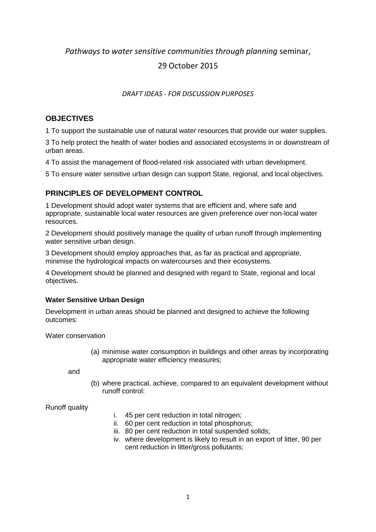# *Pathways to water sensitive communities through planning* seminar,

# 29 October 2015

### *DRAFT IDEAS - FOR DISCUSSION PURPOSES*

### **OBJECTIVES**

1 To support the sustainable use of natural water resources that provide our water supplies.

3 To help protect the health of water bodies and associated ecosystems in or downstream of urban areas.

4 To assist the management of flood-related risk associated with urban development.

5 To ensure water sensitive urban design can support State, regional, and local objectives.

## **PRINCIPLES OF DEVELOPMENT CONTROL**

1 Development should adopt water systems that are efficient and, where safe and appropriate, sustainable local water resources are given preference over non-local water resources.

2 Development should positively manage the quality of urban runoff through implementing water sensitive urban design.

3 Development should employ approaches that, as far as practical and appropriate, minimise the hydrological impacts on watercourses and their ecosystems.

4 Development should be planned and designed with regard to State, regional and local objectives.

#### **Water Sensitive Urban Design**

Development in urban areas should be planned and designed to achieve the following outcomes:

Water conservation

(a) minimise water consumption in buildings and other areas by incorporating appropriate water efficiency measures;

and

(b) where practical, achieve, compared to an equivalent development without runoff control:

Runoff quality

- i. 45 per cent reduction in total nitrogen;
- ii. 60 per cent reduction in total phosphorus;
- iii. 80 per cent reduction in total suspended solids;
- iv. where development is likely to result in an export of litter, 90 per cent reduction in litter/gross pollutants;